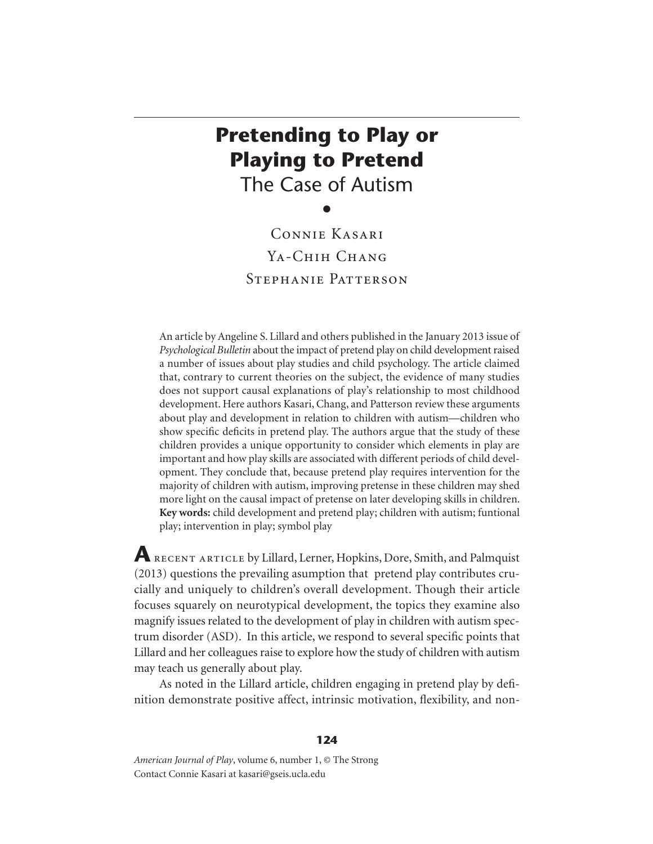# **Pretending to Play or Playing to Pretend** The Case of Autism

 $\bullet$ Connie Kasari YA-CHIH CHANG Stephanie Patterson

An article by Angeline S. Lillard and others published in the January 2013 issue of *Psychological Bulletin* about the impact of pretend play on child development raised a number of issues about play studies and child psychology. The article claimed that, contrary to current theories on the subject, the evidence of many studies does not support causal explanations of play's relationship to most childhood development. Here authors Kasari, Chang, and Patterson review these arguments about play and development in relation to children with autism—children who show specific deficits in pretend play. The authors argue that the study of these children provides a unique opportunity to consider which elements in play are important and how play skills are associated with different periods of child development. They conclude that, because pretend play requires intervention for the majority of children with autism, improving pretense in these children may shed more light on the causal impact of pretense on later developing skills in children. **Key words:** child development and pretend play; children with autism; funtional play; intervention in play; symbol play

**A** recent article by Lillard, Lerner, Hopkins, Dore, Smith, and Palmquist (2013) questions the prevailing asumption that pretend play contributes crucially and uniquely to children's overall development. Though their article focuses squarely on neurotypical development, the topics they examine also magnify issues related to the development of play in children with autism spectrum disorder (ASD). In this article, we respond to several specific points that Lillard and her colleagues raise to explore how the study of children with autism may teach us generally about play.

As noted in the Lillard article, children engaging in pretend play by definition demonstrate positive affect, intrinsic motivation, flexibility, and non-

*American Journal of Play*, volume 6, number 1, © The Strong Contact Connie Kasari at kasari@gseis.ucla.edu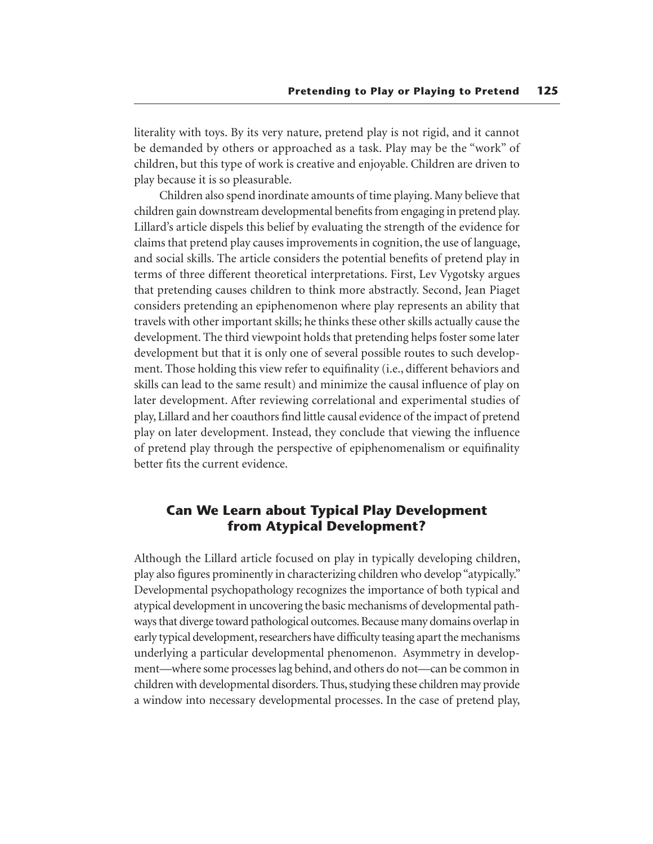literality with toys. By its very nature, pretend play is not rigid, and it cannot be demanded by others or approached as a task. Play may be the "work" of children, but this type of work is creative and enjoyable. Children are driven to play because it is so pleasurable.

Children also spend inordinate amounts of time playing. Many believe that children gain downstream developmental benefits from engaging in pretend play. Lillard's article dispels this belief by evaluating the strength of the evidence for claims that pretend play causes improvements in cognition, the use of language, and social skills. The article considers the potential benefits of pretend play in terms of three different theoretical interpretations. First, Lev Vygotsky argues that pretending causes children to think more abstractly. Second, Jean Piaget considers pretending an epiphenomenon where play represents an ability that travels with other important skills; he thinks these other skills actually cause the development. The third viewpoint holds that pretending helps foster some later development but that it is only one of several possible routes to such development. Those holding this view refer to equifinality (i.e., different behaviors and skills can lead to the same result) and minimize the causal influence of play on later development. After reviewing correlational and experimental studies of play, Lillard and her coauthors find little causal evidence of the impact of pretend play on later development. Instead, they conclude that viewing the influence of pretend play through the perspective of epiphenomenalism or equifinality better fits the current evidence.

## **Can We Learn about Typical Play Development from Atypical Development?**

Although the Lillard article focused on play in typically developing children, play also figures prominently in characterizing children who develop "atypically." Developmental psychopathology recognizes the importance of both typical and atypical development in uncovering the basic mechanisms of developmental pathways that diverge toward pathological outcomes. Because many domains overlap in early typical development, researchers have difficulty teasing apart the mechanisms underlying a particular developmental phenomenon. Asymmetry in development—where some processes lag behind, and others do not—can be common in children with developmental disorders. Thus, studying these children may provide a window into necessary developmental processes. In the case of pretend play,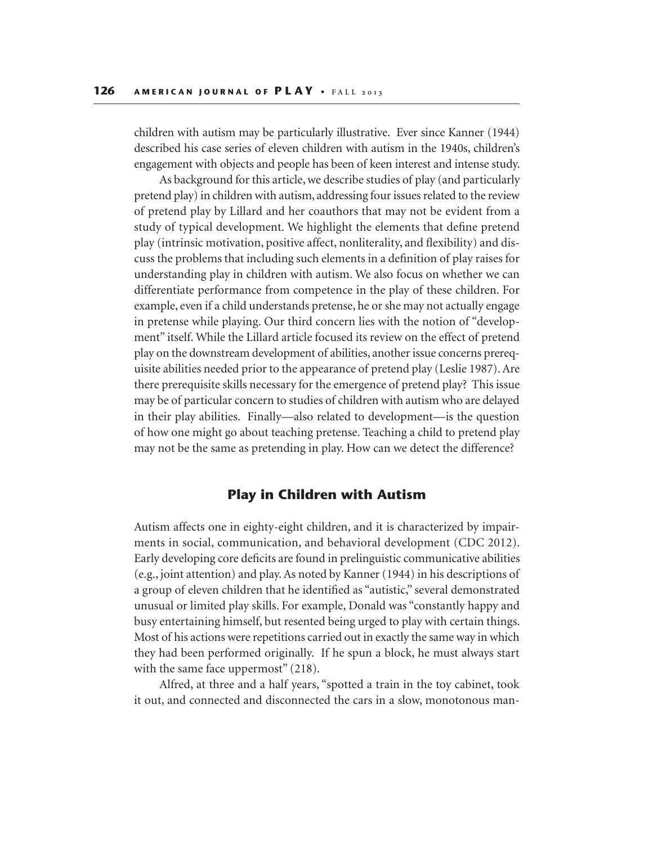children with autism may be particularly illustrative. Ever since Kanner (1944) described his case series of eleven children with autism in the 1940s, children's engagement with objects and people has been of keen interest and intense study.

As background for this article, we describe studies of play (and particularly pretend play) in children with autism, addressing four issues related to the review of pretend play by Lillard and her coauthors that may not be evident from a study of typical development. We highlight the elements that define pretend play (intrinsic motivation, positive affect, nonliterality, and flexibility) and discuss the problems that including such elements in a definition of play raises for understanding play in children with autism. We also focus on whether we can differentiate performance from competence in the play of these children. For example, even if a child understands pretense, he or she may not actually engage in pretense while playing. Our third concern lies with the notion of "development" itself. While the Lillard article focused its review on the effect of pretend play on the downstream development of abilities, another issue concerns prerequisite abilities needed prior to the appearance of pretend play (Leslie 1987). Are there prerequisite skills necessary for the emergence of pretend play? This issue may be of particular concern to studies of children with autism who are delayed in their play abilities. Finally—also related to development—is the question of how one might go about teaching pretense. Teaching a child to pretend play may not be the same as pretending in play. How can we detect the difference?

#### **Play in Children with Autism**

Autism affects one in eighty-eight children, and it is characterized by impairments in social, communication, and behavioral development (CDC 2012). Early developing core deficits are found in prelinguistic communicative abilities (e.g., joint attention) and play. As noted by Kanner (1944) in his descriptions of a group of eleven children that he identified as "autistic," several demonstrated unusual or limited play skills. For example, Donald was "constantly happy and busy entertaining himself, but resented being urged to play with certain things. Most of his actions were repetitions carried out in exactly the same way in which they had been performed originally. If he spun a block, he must always start with the same face uppermost" (218).

Alfred, at three and a half years, "spotted a train in the toy cabinet, took it out, and connected and disconnected the cars in a slow, monotonous man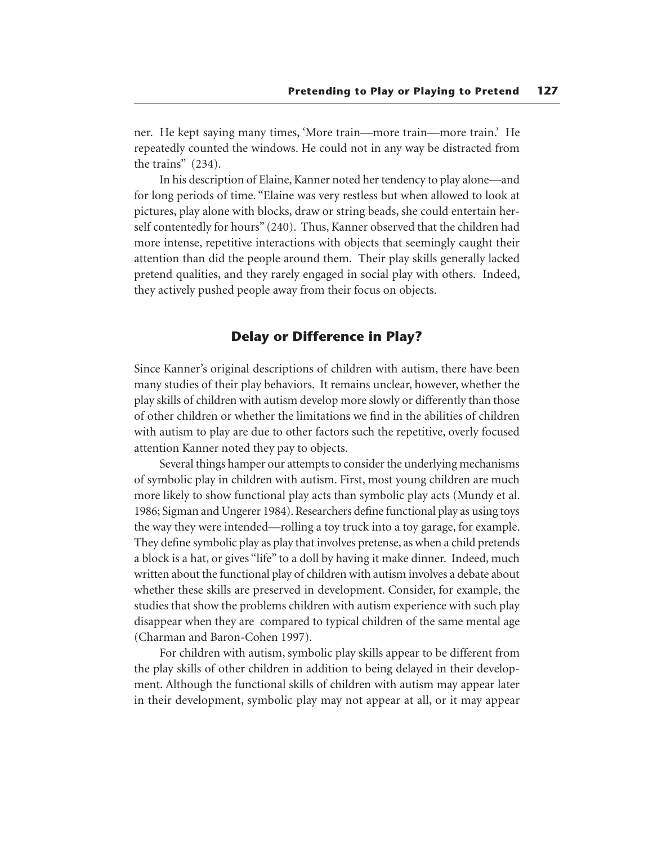ner. He kept saying many times, 'More train—more train—more train.' He repeatedly counted the windows. He could not in any way be distracted from the trains" (234).

In his description of Elaine, Kanner noted her tendency to play alone—and for long periods of time. "Elaine was very restless but when allowed to look at pictures, play alone with blocks, draw or string beads, she could entertain herself contentedly for hours" (240). Thus, Kanner observed that the children had more intense, repetitive interactions with objects that seemingly caught their attention than did the people around them. Their play skills generally lacked pretend qualities, and they rarely engaged in social play with others. Indeed, they actively pushed people away from their focus on objects.

## **Delay or Difference in Play?**

Since Kanner's original descriptions of children with autism, there have been many studies of their play behaviors. It remains unclear, however, whether the play skills of children with autism develop more slowly or differently than those of other children or whether the limitations we find in the abilities of children with autism to play are due to other factors such the repetitive, overly focused attention Kanner noted they pay to objects.

Several things hamper our attempts to consider the underlying mechanisms of symbolic play in children with autism. First, most young children are much more likely to show functional play acts than symbolic play acts (Mundy et al. 1986; Sigman and Ungerer 1984). Researchers define functional play as using toys the way they were intended—rolling a toy truck into a toy garage, for example. They define symbolic play as play that involves pretense, as when a child pretends a block is a hat, or gives "life" to a doll by having it make dinner. Indeed, much written about the functional play of children with autism involves a debate about whether these skills are preserved in development. Consider, for example, the studies that show the problems children with autism experience with such play disappear when they are compared to typical children of the same mental age (Charman and Baron-Cohen 1997).

For children with autism, symbolic play skills appear to be different from the play skills of other children in addition to being delayed in their development. Although the functional skills of children with autism may appear later in their development, symbolic play may not appear at all, or it may appear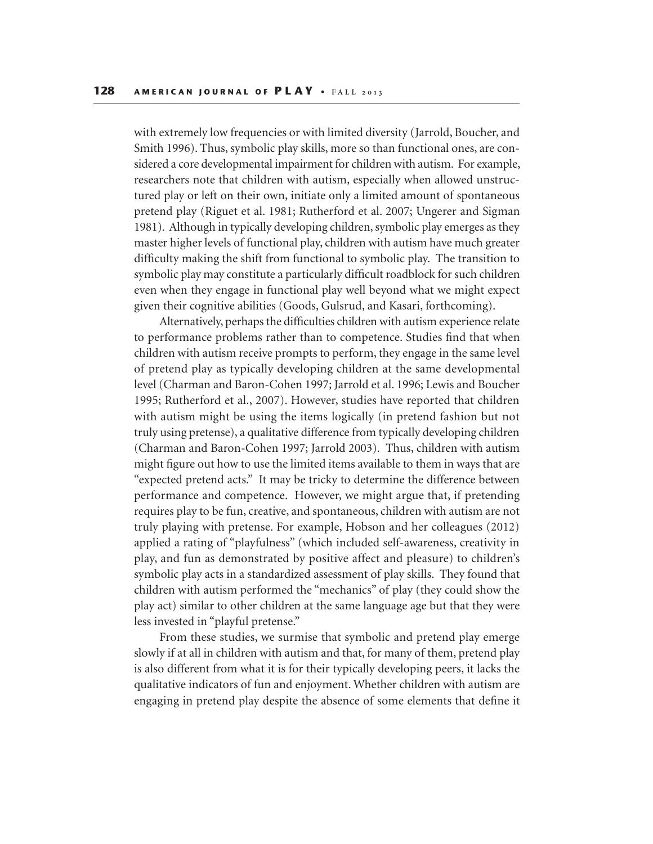with extremely low frequencies or with limited diversity (Jarrold, Boucher, and Smith 1996). Thus, symbolic play skills, more so than functional ones, are considered a core developmental impairment for children with autism. For example, researchers note that children with autism, especially when allowed unstructured play or left on their own, initiate only a limited amount of spontaneous pretend play (Riguet et al. 1981; Rutherford et al. 2007; Ungerer and Sigman 1981). Although in typically developing children, symbolic play emerges as they master higher levels of functional play, children with autism have much greater difficulty making the shift from functional to symbolic play. The transition to symbolic play may constitute a particularly difficult roadblock for such children even when they engage in functional play well beyond what we might expect given their cognitive abilities (Goods, Gulsrud, and Kasari, forthcoming).

Alternatively, perhaps the difficulties children with autism experience relate to performance problems rather than to competence. Studies find that when children with autism receive prompts to perform, they engage in the same level of pretend play as typically developing children at the same developmental level (Charman and Baron-Cohen 1997; Jarrold et al. 1996; Lewis and Boucher 1995; Rutherford et al., 2007). However, studies have reported that children with autism might be using the items logically (in pretend fashion but not truly using pretense), a qualitative difference from typically developing children (Charman and Baron-Cohen 1997; Jarrold 2003). Thus, children with autism might figure out how to use the limited items available to them in ways that are "expected pretend acts." It may be tricky to determine the difference between performance and competence. However, we might argue that, if pretending requires play to be fun, creative, and spontaneous, children with autism are not truly playing with pretense. For example, Hobson and her colleagues (2012) applied a rating of "playfulness" (which included self-awareness, creativity in play, and fun as demonstrated by positive affect and pleasure) to children's symbolic play acts in a standardized assessment of play skills. They found that children with autism performed the "mechanics" of play (they could show the play act) similar to other children at the same language age but that they were less invested in "playful pretense."

From these studies, we surmise that symbolic and pretend play emerge slowly if at all in children with autism and that, for many of them, pretend play is also different from what it is for their typically developing peers, it lacks the qualitative indicators of fun and enjoyment. Whether children with autism are engaging in pretend play despite the absence of some elements that define it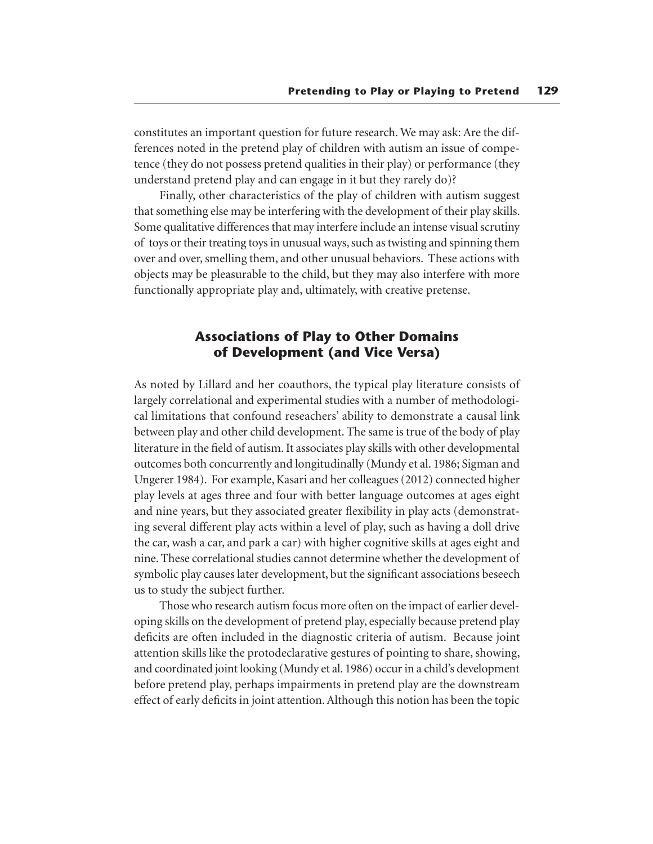constitutes an important question for future research. We may ask: Are the differences noted in the pretend play of children with autism an issue of competence (they do not possess pretend qualities in their play) or performance (they understand pretend play and can engage in it but they rarely do)?

Finally, other characteristics of the play of children with autism suggest that something else may be interfering with the development of their play skills. Some qualitative differences that may interfere include an intense visual scrutiny of toys or their treating toys in unusual ways, such as twisting and spinning them over and over, smelling them, and other unusual behaviors. These actions with objects may be pleasurable to the child, but they may also interfere with more functionally appropriate play and, ultimately, with creative pretense.

## **Associations of Play to Other Domains of Development (and Vice Versa)**

As noted by Lillard and her coauthors, the typical play literature consists of largely correlational and experimental studies with a number of methodological limitations that confound reseachers' ability to demonstrate a causal link between play and other child development. The same is true of the body of play literature in the field of autism. It associates play skills with other developmental outcomes both concurrently and longitudinally (Mundy et al. 1986; Sigman and Ungerer 1984). For example, Kasari and her colleagues (2012) connected higher play levels at ages three and four with better language outcomes at ages eight and nine years, but they associated greater flexibility in play acts (demonstrating several different play acts within a level of play, such as having a doll drive the car, wash a car, and park a car) with higher cognitive skills at ages eight and nine. These correlational studies cannot determine whether the development of symbolic play causes later development, but the significant associations beseech us to study the subject further.

Those who research autism focus more often on the impact of earlier developing skills on the development of pretend play, especially because pretend play deficits are often included in the diagnostic criteria of autism. Because joint attention skills like the protodeclarative gestures of pointing to share, showing, and coordinated joint looking (Mundy et al. 1986) occur in a child's development before pretend play, perhaps impairments in pretend play are the downstream effect of early deficits in joint attention. Although this notion has been the topic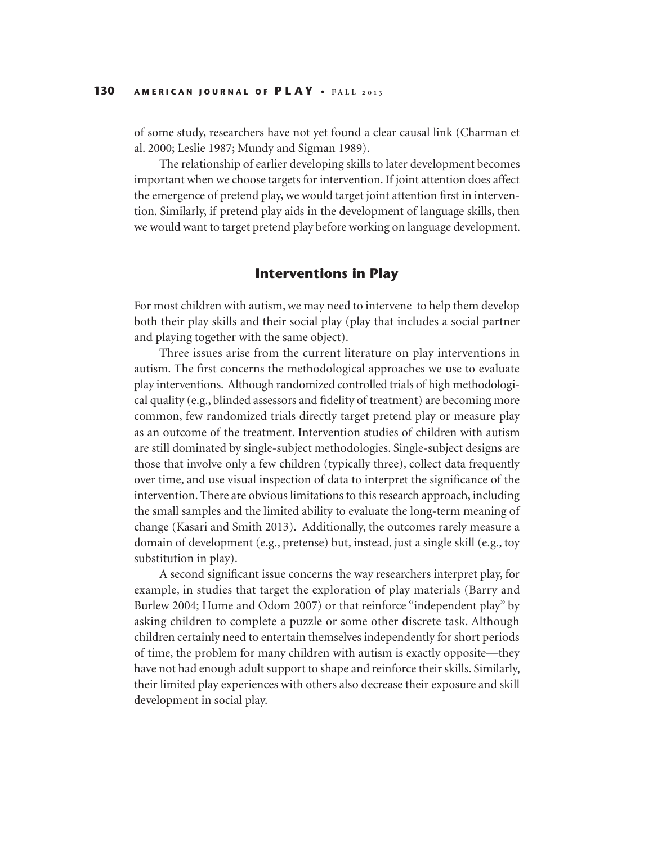of some study, researchers have not yet found a clear causal link (Charman et al. 2000; Leslie 1987; Mundy and Sigman 1989).

The relationship of earlier developing skills to later development becomes important when we choose targets for intervention. If joint attention does affect the emergence of pretend play, we would target joint attention first in intervention. Similarly, if pretend play aids in the development of language skills, then we would want to target pretend play before working on language development.

#### **Interventions in Play**

For most children with autism, we may need to intervene to help them develop both their play skills and their social play (play that includes a social partner and playing together with the same object).

Three issues arise from the current literature on play interventions in autism. The first concerns the methodological approaches we use to evaluate play interventions. Although randomized controlled trials of high methodological quality (e.g., blinded assessors and fidelity of treatment) are becoming more common, few randomized trials directly target pretend play or measure play as an outcome of the treatment. Intervention studies of children with autism are still dominated by single-subject methodologies. Single-subject designs are those that involve only a few children (typically three), collect data frequently over time, and use visual inspection of data to interpret the significance of the intervention. There are obvious limitations to this research approach, including the small samples and the limited ability to evaluate the long-term meaning of change (Kasari and Smith 2013). Additionally, the outcomes rarely measure a domain of development (e.g., pretense) but, instead, just a single skill (e.g., toy substitution in play).

A second significant issue concerns the way researchers interpret play, for example, in studies that target the exploration of play materials (Barry and Burlew 2004; Hume and Odom 2007) or that reinforce "independent play" by asking children to complete a puzzle or some other discrete task. Although children certainly need to entertain themselves independently for short periods of time, the problem for many children with autism is exactly opposite—they have not had enough adult support to shape and reinforce their skills. Similarly, their limited play experiences with others also decrease their exposure and skill development in social play.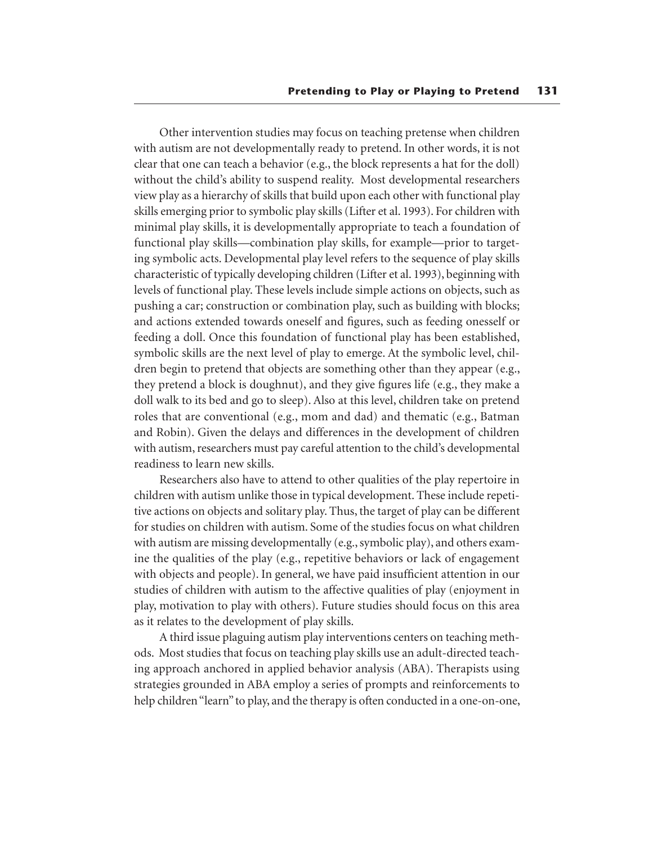Other intervention studies may focus on teaching pretense when children with autism are not developmentally ready to pretend. In other words, it is not clear that one can teach a behavior (e.g., the block represents a hat for the doll) without the child's ability to suspend reality. Most developmental researchers view play as a hierarchy of skills that build upon each other with functional play skills emerging prior to symbolic play skills (Lifter et al. 1993). For children with minimal play skills, it is developmentally appropriate to teach a foundation of functional play skills—combination play skills, for example—prior to targeting symbolic acts. Developmental play level refers to the sequence of play skills characteristic of typically developing children (Lifter et al. 1993), beginning with levels of functional play. These levels include simple actions on objects, such as pushing a car; construction or combination play, such as building with blocks; and actions extended towards oneself and figures, such as feeding onesself or feeding a doll. Once this foundation of functional play has been established, symbolic skills are the next level of play to emerge. At the symbolic level, children begin to pretend that objects are something other than they appear (e.g., they pretend a block is doughnut), and they give figures life (e.g., they make a doll walk to its bed and go to sleep). Also at this level, children take on pretend roles that are conventional (e.g., mom and dad) and thematic (e.g., Batman and Robin). Given the delays and differences in the development of children with autism, researchers must pay careful attention to the child's developmental readiness to learn new skills.

Researchers also have to attend to other qualities of the play repertoire in children with autism unlike those in typical development. These include repetitive actions on objects and solitary play. Thus, the target of play can be different for studies on children with autism. Some of the studies focus on what children with autism are missing developmentally (e.g., symbolic play), and others examine the qualities of the play (e.g., repetitive behaviors or lack of engagement with objects and people). In general, we have paid insufficient attention in our studies of children with autism to the affective qualities of play (enjoyment in play, motivation to play with others). Future studies should focus on this area as it relates to the development of play skills.

A third issue plaguing autism play interventions centers on teaching methods. Most studies that focus on teaching play skills use an adult-directed teaching approach anchored in applied behavior analysis (ABA). Therapists using strategies grounded in ABA employ a series of prompts and reinforcements to help children "learn" to play, and the therapy is often conducted in a one-on-one,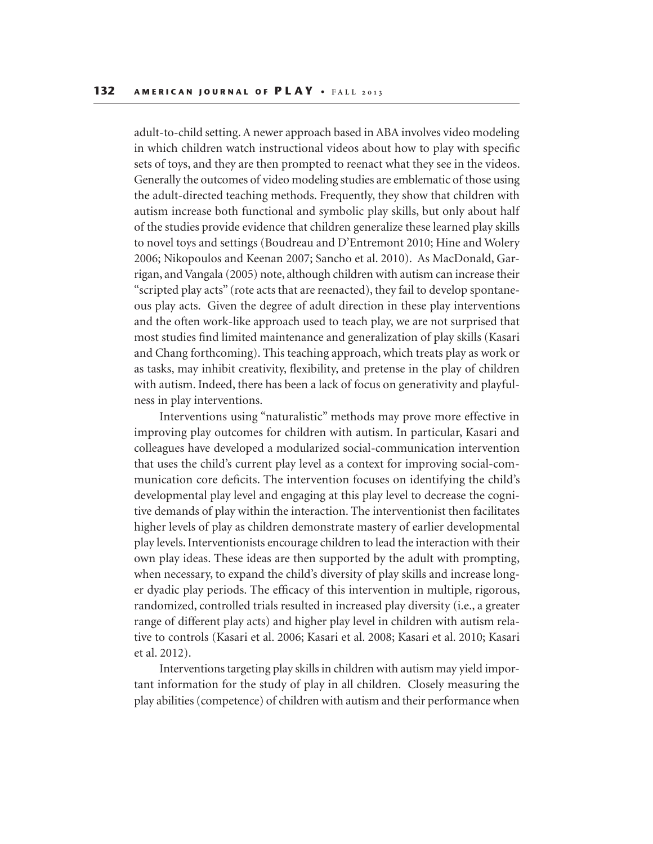adult-to-child setting. A newer approach based in ABA involves video modeling in which children watch instructional videos about how to play with specific sets of toys, and they are then prompted to reenact what they see in the videos. Generally the outcomes of video modeling studies are emblematic of those using the adult-directed teaching methods. Frequently, they show that children with autism increase both functional and symbolic play skills, but only about half of the studies provide evidence that children generalize these learned play skills to novel toys and settings (Boudreau and D'Entremont 2010; Hine and Wolery 2006; Nikopoulos and Keenan 2007; Sancho et al. 2010). As MacDonald, Garrigan, and Vangala (2005) note, although children with autism can increase their "scripted play acts" (rote acts that are reenacted), they fail to develop spontaneous play acts. Given the degree of adult direction in these play interventions and the often work-like approach used to teach play, we are not surprised that most studies find limited maintenance and generalization of play skills (Kasari and Chang forthcoming). This teaching approach, which treats play as work or as tasks, may inhibit creativity, flexibility, and pretense in the play of children with autism. Indeed, there has been a lack of focus on generativity and playfulness in play interventions.

Interventions using "naturalistic" methods may prove more effective in improving play outcomes for children with autism. In particular, Kasari and colleagues have developed a modularized social-communication intervention that uses the child's current play level as a context for improving social-communication core deficits. The intervention focuses on identifying the child's developmental play level and engaging at this play level to decrease the cognitive demands of play within the interaction. The interventionist then facilitates higher levels of play as children demonstrate mastery of earlier developmental play levels. Interventionists encourage children to lead the interaction with their own play ideas. These ideas are then supported by the adult with prompting, when necessary, to expand the child's diversity of play skills and increase longer dyadic play periods. The efficacy of this intervention in multiple, rigorous, randomized, controlled trials resulted in increased play diversity (i.e., a greater range of different play acts) and higher play level in children with autism relative to controls (Kasari et al. 2006; Kasari et al. 2008; Kasari et al. 2010; Kasari et al. 2012).

Interventions targeting play skills in children with autism may yield important information for the study of play in all children. Closely measuring the play abilities (competence) of children with autism and their performance when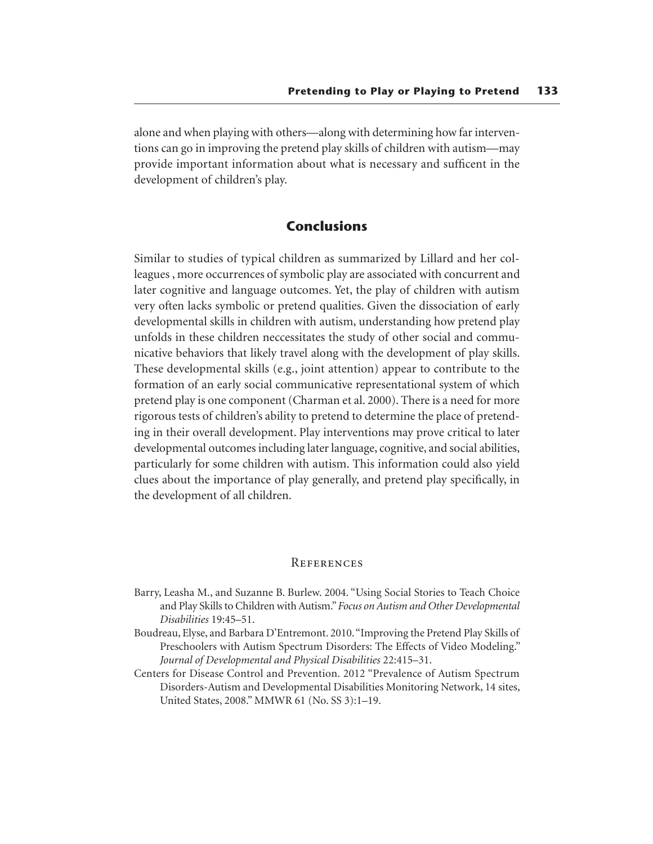alone and when playing with others—along with determining how far interventions can go in improving the pretend play skills of children with autism—may provide important information about what is necessary and sufficent in the development of children's play.

#### **Conclusions**

Similar to studies of typical children as summarized by Lillard and her colleagues , more occurrences of symbolic play are associated with concurrent and later cognitive and language outcomes. Yet, the play of children with autism very often lacks symbolic or pretend qualities. Given the dissociation of early developmental skills in children with autism, understanding how pretend play unfolds in these children neccessitates the study of other social and communicative behaviors that likely travel along with the development of play skills. These developmental skills (e.g., joint attention) appear to contribute to the formation of an early social communicative representational system of which pretend play is one component (Charman et al. 2000). There is a need for more rigorous tests of children's ability to pretend to determine the place of pretending in their overall development. Play interventions may prove critical to later developmental outcomes including later language, cognitive, and social abilities, particularly for some children with autism. This information could also yield clues about the importance of play generally, and pretend play specifically, in the development of all children.

#### **REFERENCES**

- Barry, Leasha M., and Suzanne B. Burlew. 2004. "Using Social Stories to Teach Choice and Play Skills to Children with Autism." *Focus on Autism and Other Developmental Disabilities* 19:45–51.
- Boudreau, Elyse, and Barbara D'Entremont. 2010. "Improving the Pretend Play Skills of Preschoolers with Autism Spectrum Disorders: The Effects of Video Modeling." *Journal of Developmental and Physical Disabilities* 22:415–31.
- Centers for Disease Control and Prevention. 2012 "Prevalence of Autism Spectrum Disorders-Autism and Developmental Disabilities Monitoring Network, 14 sites, United States, 2008." MMWR 61 (No. SS 3):1–19.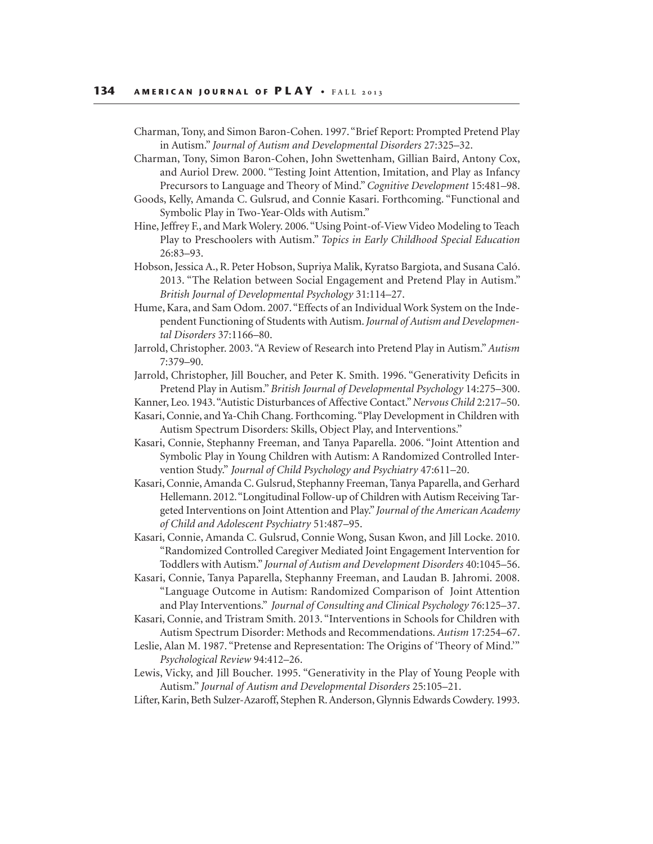Charman, Tony, and Simon Baron-Cohen. 1997. "Brief Report: Prompted Pretend Play in Autism." *Journal of Autism and Developmental Disorders* 27:325–32.

Charman, Tony, Simon Baron-Cohen, John Swettenham, Gillian Baird, Antony Cox, and Auriol Drew. 2000. "Testing Joint Attention, Imitation, and Play as Infancy Precursors to Language and Theory of Mind." *Cognitive Development* 15:481–98.

- Goods, Kelly, Amanda C. Gulsrud, and Connie Kasari. Forthcoming. "Functional and Symbolic Play in Two-Year-Olds with Autism."
- Hine, Jeffrey F., and Mark Wolery. 2006. "Using Point-of-View Video Modeling to Teach Play to Preschoolers with Autism." *Topics in Early Childhood Special Education*  26:83–93.
- Hobson, Jessica A., R. Peter Hobson, Supriya Malik, Kyratso Bargiota, and Susana Caló. 2013. "The Relation between Social Engagement and Pretend Play in Autism." *British Journal of Developmental Psychology* 31:114–27.
- Hume, Kara, and Sam Odom. 2007. "Effects of an Individual Work System on the Independent Functioning of Students with Autism. *Journal of Autism and Developmental Disorders* 37:1166–80.
- Jarrold, Christopher. 2003. "A Review of Research into Pretend Play in Autism." *Autism*  7:379–90.
- Jarrold, Christopher, Jill Boucher, and Peter K. Smith. 1996. "Generativity Deficits in Pretend Play in Autism." *British Journal of Developmental Psychology* 14:275–300.

Kanner, Leo. 1943. "Autistic Disturbances of Affective Contact." *Nervous Child* 2:217–50.

- Kasari, Connie, and Ya-Chih Chang. Forthcoming. "Play Development in Children with Autism Spectrum Disorders: Skills, Object Play, and Interventions."
- Kasari, Connie, Stephanny Freeman, and Tanya Paparella. 2006. "Joint Attention and Symbolic Play in Young Children with Autism: A Randomized Controlled Intervention Study." *Journal of Child Psychology and Psychiatry* 47:611–20.
- Kasari, Connie, Amanda C. Gulsrud, Stephanny Freeman, Tanya Paparella, and Gerhard Hellemann. 2012. "Longitudinal Follow-up of Children with Autism Receiving Targeted Interventions on Joint Attention and Play." *Journal of the American Academy of Child and Adolescent Psychiatry* 51:487–95.
- Kasari, Connie, Amanda C. Gulsrud, Connie Wong, Susan Kwon, and Jill Locke. 2010. "Randomized Controlled Caregiver Mediated Joint Engagement Intervention for Toddlers with Autism." *Journal of Autism and Development Disorders* 40:1045–56.
- Kasari, Connie, Tanya Paparella, Stephanny Freeman, and Laudan B. Jahromi. 2008. "Language Outcome in Autism: Randomized Comparison of Joint Attention and Play Interventions." *Journal of Consulting and Clinical Psychology* 76:125–37.
- Kasari, Connie, and Tristram Smith. 2013. "Interventions in Schools for Children with Autism Spectrum Disorder: Methods and Recommendations. *Autism* 17:254–67.
- Leslie, Alan M. 1987. "Pretense and Representation: The Origins of 'Theory of Mind.'"  *Psychological Review* 94:412–26.
- Lewis, Vicky, and Jill Boucher. 1995. "Generativity in the Play of Young People with Autism." *Journal of Autism and Developmental Disorders* 25:105–21.
- Lifter, Karin, Beth Sulzer-Azaroff, Stephen R. Anderson, Glynnis Edwards Cowdery. 1993.